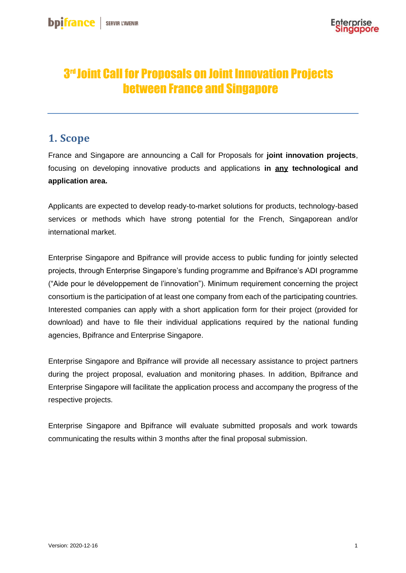# 3 rd Joint Call for Proposals on Joint Innovation Projects between France and Singapore

#### **1. Scope**

France and Singapore are announcing a Call for Proposals for **joint innovation projects**, focusing on developing innovative products and applications **in any technological and application area.**

Applicants are expected to develop ready-to-market solutions for products, technology-based services or methods which have strong potential for the French, Singaporean and/or international market.

Enterprise Singapore and Bpifrance will provide access to public funding for jointly selected projects, through Enterprise Singapore's funding programme and Bpifrance's ADI programme ("Aide pour le développement de l'innovation"). Minimum requirement concerning the project consortium is the participation of at least one company from each of the participating countries. Interested companies can apply with a short application form for their project (provided for download) and have to file their individual applications required by the national funding agencies, Bpifrance and Enterprise Singapore.

Enterprise Singapore and Bpifrance will provide all necessary assistance to project partners during the project proposal, evaluation and monitoring phases. In addition, Bpifrance and Enterprise Singapore will facilitate the application process and accompany the progress of the respective projects.

Enterprise Singapore and Bpifrance will evaluate submitted proposals and work towards communicating the results within 3 months after the final proposal submission.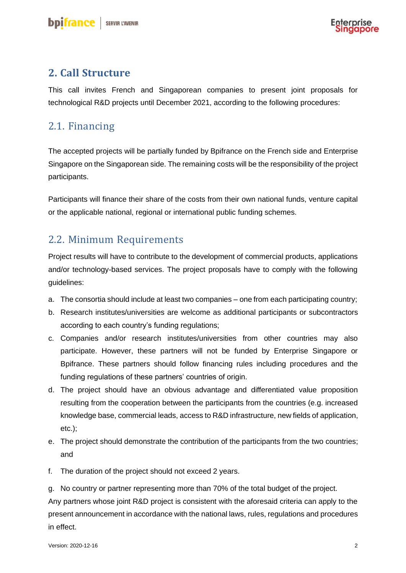

### **2. Call Structure**

This call invites French and Singaporean companies to present joint proposals for technological R&D projects until December 2021, according to the following procedures:

## 2.1. Financing

The accepted projects will be partially funded by Bpifrance on the French side and Enterprise Singapore on the Singaporean side. The remaining costs will be the responsibility of the project participants.

Participants will finance their share of the costs from their own national funds, venture capital or the applicable national, regional or international public funding schemes.

### 2.2. Minimum Requirements

Project results will have to contribute to the development of commercial products, applications and/or technology-based services. The project proposals have to comply with the following guidelines:

- a. The consortia should include at least two companies one from each participating country;
- b. Research institutes/universities are welcome as additional participants or subcontractors according to each country's funding regulations;
- c. Companies and/or research institutes/universities from other countries may also participate. However, these partners will not be funded by Enterprise Singapore or Bpifrance. These partners should follow financing rules including procedures and the funding regulations of these partners' countries of origin.
- d. The project should have an obvious advantage and differentiated value proposition resulting from the cooperation between the participants from the countries (e.g. increased knowledge base, commercial leads, access to R&D infrastructure, new fields of application, etc.);
- e. The project should demonstrate the contribution of the participants from the two countries; and
- f. The duration of the project should not exceed 2 years.

g. No country or partner representing more than 70% of the total budget of the project.

Any partners whose joint R&D project is consistent with the aforesaid criteria can apply to the present announcement in accordance with the national laws, rules, regulations and procedures in effect.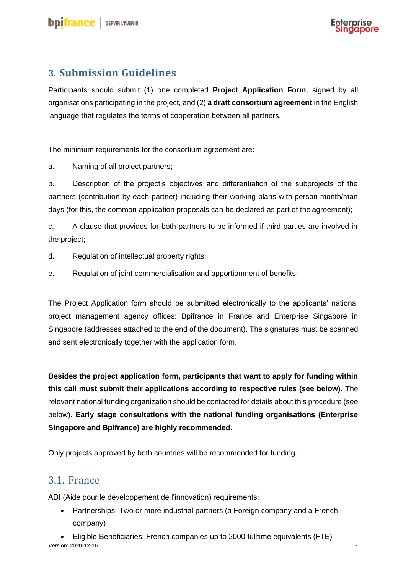# **3. Submission Guidelines**

Participants should submit (1) one completed **Project Application Form**, signed by all organisations participating in the project, and (2) **a draft consortium agreement** in the English language that regulates the terms of cooperation between all partners.

The minimum requirements for the consortium agreement are:

a. Naming of all project partners;

b. Description of the project's objectives and differentiation of the subprojects of the partners (contribution by each partner) including their working plans with person month/man days (for this, the common application proposals can be declared as part of the agreement);

c. A clause that provides for both partners to be informed if third parties are involved in the project;

- d. Regulation of intellectual property rights;
- e. Regulation of joint commercialisation and apportionment of benefits;

The Project Application form should be submitted electronically to the applicants' national project management agency offices: Bpifrance in France and Enterprise Singapore in Singapore (addresses attached to the end of the document). The signatures must be scanned and sent electronically together with the application form.

**Besides the project application form, participants that want to apply for funding within this call must submit their applications according to respective rules (see below)**. The relevant national funding organization should be contacted for details about this procedure (see below). **Early stage consultations with the national funding organisations (Enterprise Singapore and Bpifrance) are highly recommended.**

Only projects approved by both countries will be recommended for funding.

### 3.1. France

ADI (Aide pour le développement de l'innovation) requirements:

• Partnerships: Two or more industrial partners (a Foreign company and a French company)

Version: 2020-12-16 3 • Eligible Beneficiaries: French companies up to 2000 fulltime equivalents (FTE)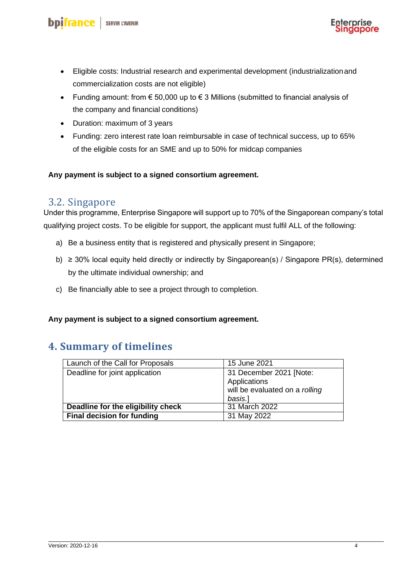

- Eligible costs: Industrial research and experimental development (industrializationand commercialization costs are not eligible)
- Funding amount: from € 50,000 up to € 3 Millions (submitted to financial analysis of the company and financial conditions)
- Duration: maximum of 3 years
- Funding: zero interest rate loan reimbursable in case of technical success, up to 65% of the eligible costs for an SME and up to 50% for midcap companies

#### **Any payment is subject to a signed consortium agreement.**

#### 3.2. Singapore

Under this programme, Enterprise Singapore will support up to 70% of the Singaporean company's total qualifying project costs. To be eligible for support, the applicant must fulfil ALL of the following:

- a) Be a business entity that is registered and physically present in Singapore;
- b) ≥ 30% local equity held directly or indirectly by Singaporean(s) / Singapore PR(s), determined by the ultimate individual ownership; and
- c) Be financially able to see a project through to completion.

#### **Any payment is subject to a signed consortium agreement.**

#### **4. Summary of timelines**

| Launch of the Call for Proposals   | 15 June 2021                   |
|------------------------------------|--------------------------------|
| Deadline for joint application     | 31 December 2021 [Note:        |
|                                    | Applications                   |
|                                    | will be evaluated on a rolling |
|                                    | basis.]                        |
| Deadline for the eligibility check | 31 March 2022                  |
| <b>Final decision for funding</b>  | 31 May 2022                    |